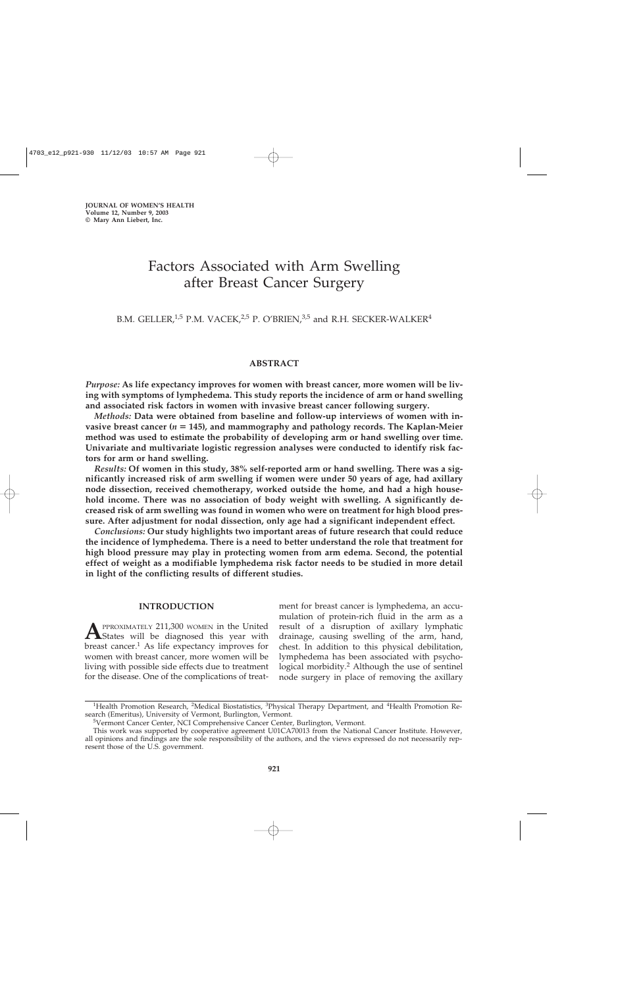# Factors Associated with Arm Swelling after Breast Cancer Surgery

## B.M. GELLER,<sup>1,5</sup> P.M. VACEK,<sup>2,5</sup> P. O'BRIEN,<sup>3,5</sup> and R.H. SECKER-WALKER<sup>4</sup>

## **ABSTRACT**

*Purpose:* **As life expectancy improves for women with breast cancer, more women will be living with symptoms of lymphedema. This study reports the incidence of arm or hand swelling and associated risk factors in women with invasive breast cancer following surgery.**

*Methods:* **Data were obtained from baseline and follow-up interviews of women with invasive breast cancer (***n* **145), and mammography and pathology records. The Kaplan-Meier method was used to estimate the probability of developing arm or hand swelling over time. Univariate and multivariate logistic regression analyses were conducted to identify risk factors for arm or hand swelling.**

*Results:* **Of women in this study, 38% self-reported arm or hand swelling. There was a significantly increased risk of arm swelling if women were under 50 years of age, had axillary node dissection, received chemotherapy, worked outside the home, and had a high household income. There was no association of body weight with swelling. A significantly decreased risk of arm swelling was found in women who were on treatment for high blood pressure. After adjustment for nodal dissection, only age had a significant independent effect.**

*Conclusions:* **Our study highlights two important areas of future research that could reduce the incidence of lymphedema. There is a need to better understand the role that treatment for high blood pressure may play in protecting women from arm edema. Second, the potential effect of weight as a modifiable lymphedema risk factor needs to be studied in more detail in light of the conflicting results of different studies.**

### **INTRODUCTION**

**A**PPROXIMATELY 211,300 WOMEN in the United<br>States will be diagnosed this year with breast cancer.<sup>1</sup> As life expectancy improves for women with breast cancer, more women will be living with possible side effects due to treatment for the disease. One of the complications of treatment for breast cancer is lymphedema, an accumulation of protein-rich fluid in the arm as a result of a disruption of axillary lymphatic drainage, causing swelling of the arm, hand, chest. In addition to this physical debilitation, lymphedema has been associated with psychological morbidity.2 Although the use of sentinel node surgery in place of removing the axillary

<sup>&</sup>lt;sup>1</sup>Health Promotion Research, <sup>2</sup>Medical Biostatistics, <sup>3</sup>Physical Therapy Department, and <sup>4</sup>Health Promotion Research (Emeritus), University of Vermont, Burlington, Vermont.

<sup>&</sup>lt;sup>5</sup>Vermont Cancer Center, NCI Comprehensive Cancer Center, Burlington, Vermont.

This work was supported by cooperative agreement U01CA70013 from the National Cancer Institute. However, all opinions and findings are the sole responsibility of the authors, and the views expressed do not necessarily represent those of the U.S. government.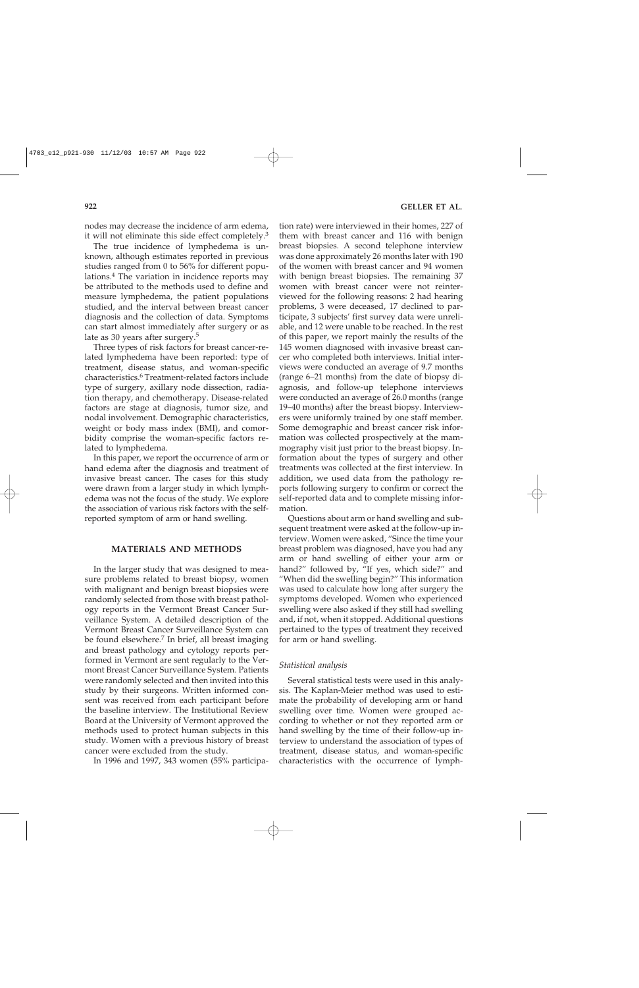nodes may decrease the incidence of arm edema, it will not eliminate this side effect completely.<sup>3</sup>

The true incidence of lymphedema is unknown, although estimates reported in previous studies ranged from 0 to 56% for different populations.4 The variation in incidence reports may be attributed to the methods used to define and measure lymphedema, the patient populations studied, and the interval between breast cancer diagnosis and the collection of data. Symptoms can start almost immediately after surgery or as late as 30 years after surgery.<sup>5</sup>

Three types of risk factors for breast cancer-related lymphedema have been reported: type of treatment, disease status, and woman-specific characteristics.<sup>6</sup> Treatment-related factors include type of surgery, axillary node dissection, radiation therapy, and chemotherapy. Disease-related factors are stage at diagnosis, tumor size, and nodal involvement. Demographic characteristics, weight or body mass index (BMI), and comorbidity comprise the woman-specific factors related to lymphedema.

In this paper, we report the occurrence of arm or hand edema after the diagnosis and treatment of invasive breast cancer. The cases for this study were drawn from a larger study in which lymphedema was not the focus of the study. We explore the association of various risk factors with the selfreported symptom of arm or hand swelling.

## **MATERIALS AND METHODS**

In the larger study that was designed to measure problems related to breast biopsy, women with malignant and benign breast biopsies were randomly selected from those with breast pathology reports in the Vermont Breast Cancer Surveillance System. A detailed description of the Vermont Breast Cancer Surveillance System can be found elsewhere.<sup>7</sup> In brief, all breast imaging and breast pathology and cytology reports performed in Vermont are sent regularly to the Vermont Breast Cancer Surveillance System. Patients were randomly selected and then invited into this study by their surgeons. Written informed consent was received from each participant before the baseline interview. The Institutional Review Board at the University of Vermont approved the methods used to protect human subjects in this study. Women with a previous history of breast cancer were excluded from the study.

In 1996 and 1997, 343 women (55% participa-

tion rate) were interviewed in their homes, 227 of them with breast cancer and 116 with benign breast biopsies. A second telephone interview was done approximately 26 months later with 190 of the women with breast cancer and 94 women with benign breast biopsies. The remaining 37 women with breast cancer were not reinterviewed for the following reasons: 2 had hearing problems, 3 were deceased, 17 declined to participate, 3 subjects' first survey data were unreliable, and 12 were unable to be reached. In the rest of this paper, we report mainly the results of the 145 women diagnosed with invasive breast cancer who completed both interviews. Initial interviews were conducted an average of 9.7 months (range 6–21 months) from the date of biopsy diagnosis, and follow-up telephone interviews were conducted an average of 26.0 months (range 19–40 months) after the breast biopsy. Interviewers were uniformly trained by one staff member. Some demographic and breast cancer risk information was collected prospectively at the mammography visit just prior to the breast biopsy. Information about the types of surgery and other treatments was collected at the first interview. In addition, we used data from the pathology reports following surgery to confirm or correct the self-reported data and to complete missing information.

Questions about arm or hand swelling and subsequent treatment were asked at the follow-up interview. Women were asked, "Since the time your breast problem was diagnosed, have you had any arm or hand swelling of either your arm or hand?" followed by, "If yes, which side?" and "When did the swelling begin?" This information was used to calculate how long after surgery the symptoms developed. Women who experienced swelling were also asked if they still had swelling and, if not, when it stopped. Additional questions pertained to the types of treatment they received for arm or hand swelling.

#### *Statistical analysis*

Several statistical tests were used in this analysis. The Kaplan-Meier method was used to estimate the probability of developing arm or hand swelling over time. Women were grouped according to whether or not they reported arm or hand swelling by the time of their follow-up interview to understand the association of types of treatment, disease status, and woman-specific characteristics with the occurrence of lymph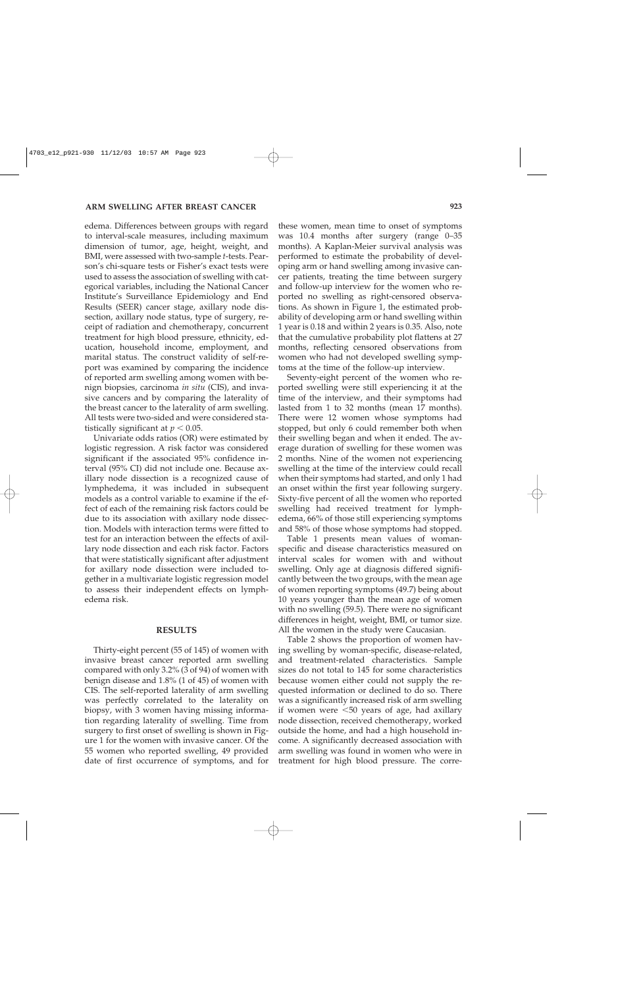edema. Differences between groups with regard to interval-scale measures, including maximum dimension of tumor, age, height, weight, and BMI, were assessed with two-sample *t*-tests. Pearson's chi-square tests or Fisher's exact tests were used to assess the association of swelling with categorical variables, including the National Cancer Institute's Surveillance Epidemiology and End Results (SEER) cancer stage, axillary node dissection, axillary node status, type of surgery, receipt of radiation and chemotherapy, concurrent treatment for high blood pressure, ethnicity, education, household income, employment, and marital status. The construct validity of self-report was examined by comparing the incidence of reported arm swelling among women with benign biopsies, carcinoma *in situ* (CIS), and invasive cancers and by comparing the laterality of the breast cancer to the laterality of arm swelling. All tests were two-sided and were considered statistically significant at  $p < 0.05$ .

Univariate odds ratios (OR) were estimated by logistic regression. A risk factor was considered significant if the associated 95% confidence interval (95% CI) did not include one. Because axillary node dissection is a recognized cause of lymphedema, it was included in subsequent models as a control variable to examine if the effect of each of the remaining risk factors could be due to its association with axillary node dissection. Models with interaction terms were fitted to test for an interaction between the effects of axillary node dissection and each risk factor. Factors that were statistically significant after adjustment for axillary node dissection were included together in a multivariate logistic regression model to assess their independent effects on lymphedema risk.

#### **RESULTS**

Thirty-eight percent (55 of 145) of women with invasive breast cancer reported arm swelling compared with only 3.2% (3 of 94) of women with benign disease and 1.8% (1 of 45) of women with CIS. The self-reported laterality of arm swelling was perfectly correlated to the laterality on biopsy, with 3 women having missing information regarding laterality of swelling. Time from surgery to first onset of swelling is shown in Figure 1 for the women with invasive cancer. Of the 55 women who reported swelling, 49 provided date of first occurrence of symptoms, and for

these women, mean time to onset of symptoms was 10.4 months after surgery (range 0–35 months). A Kaplan-Meier survival analysis was performed to estimate the probability of developing arm or hand swelling among invasive cancer patients, treating the time between surgery and follow-up interview for the women who reported no swelling as right-censored observations. As shown in Figure 1, the estimated probability of developing arm or hand swelling within 1 year is 0.18 and within 2 years is 0.35. Also, note that the cumulative probability plot flattens at 27 months, reflecting censored observations from women who had not developed swelling symptoms at the time of the follow-up interview.

Seventy-eight percent of the women who reported swelling were still experiencing it at the time of the interview, and their symptoms had lasted from 1 to 32 months (mean 17 months). There were 12 women whose symptoms had stopped, but only 6 could remember both when their swelling began and when it ended. The average duration of swelling for these women was 2 months. Nine of the women not experiencing swelling at the time of the interview could recall when their symptoms had started, and only 1 had an onset within the first year following surgery. Sixty-five percent of all the women who reported swelling had received treatment for lymphedema, 66% of those still experiencing symptoms and 58% of those whose symptoms had stopped.

Table 1 presents mean values of womanspecific and disease characteristics measured on interval scales for women with and without swelling. Only age at diagnosis differed significantly between the two groups, with the mean age of women reporting symptoms (49.7) being about 10 years younger than the mean age of women with no swelling (59.5). There were no significant differences in height, weight, BMI, or tumor size. All the women in the study were Caucasian.

Table 2 shows the proportion of women having swelling by woman-specific, disease-related, and treatment-related characteristics. Sample sizes do not total to 145 for some characteristics because women either could not supply the requested information or declined to do so. There was a significantly increased risk of arm swelling if women were  $\leq 50$  years of age, had axillary node dissection, received chemotherapy, worked outside the home, and had a high household income. A significantly decreased association with arm swelling was found in women who were in treatment for high blood pressure. The corre-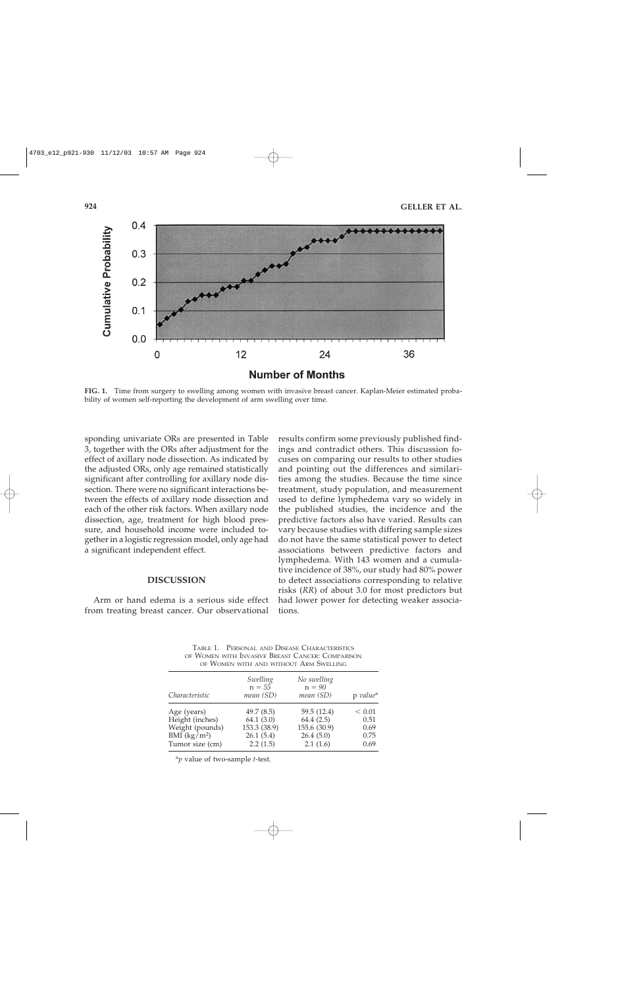

**FIG. 1.** Time from surgery to swelling among women with invasive breast cancer. Kaplan-Meier estimated probability of women self-reporting the development of arm swelling over time.

sponding univariate ORs are presented in Table 3, together with the ORs after adjustment for the effect of axillary node dissection. As indicated by the adjusted ORs, only age remained statistically significant after controlling for axillary node dissection. There were no significant interactions between the effects of axillary node dissection and each of the other risk factors. When axillary node dissection, age, treatment for high blood pressure, and household income were included together in a logistic regression model, only age had a significant independent effect.

#### **DISCUSSION**

Arm or hand edema is a serious side effect from treating breast cancer. Our observational

results confirm some previously published findings and contradict others. This discussion focuses on comparing our results to other studies and pointing out the differences and similarities among the studies. Because the time since treatment, study population, and measurement used to define lymphedema vary so widely in the published studies, the incidence and the predictive factors also have varied. Results can vary because studies with differing sample sizes do not have the same statistical power to detect associations between predictive factors and lymphedema. With 143 women and a cumulative incidence of 38%, our study had 80% power to detect associations corresponding to relative risks (*RR*) of about 3.0 for most predictors but had lower power for detecting weaker associations.

TABLE 1. PERSONAL AND DISEASE CHARACTERISTICS OF WOMEN WITH INVASIVE BREAST CANCER: COMPARISON OF WOMEN WITH AND WITHOUT ARM SWELLING

| <u>VI TIUMEN MIIII MNP MIIIIVUI IINM PHEEBRO</u> |                                   |                                      |                      |  |  |  |
|--------------------------------------------------|-----------------------------------|--------------------------------------|----------------------|--|--|--|
| Characteristic                                   | Swelling<br>$n = 55$<br>mean (SD) | No swelling<br>$n = 90$<br>mean (SD) | p value <sup>a</sup> |  |  |  |
| Age (years)                                      | 49.7(8.5)<br>64.1(3.0)            | 59.5 (12.4)                          | < 0.01<br>0.51       |  |  |  |
| Height (inches)<br>Weight (pounds)               | 153.3 (38.9)                      | 64.4(2.5)<br>155.6 (30.9)            | 0.69                 |  |  |  |
| $BMI$ (kg/m <sup>2</sup> )<br>Tumor size (cm)    | 26.1(5.4)<br>2.2(1.5)             | 26.4(5.0)<br>2.1(1.6)                | 0.75<br>0.69         |  |  |  |

<sup>a</sup>*p* value of two-sample *t*-test.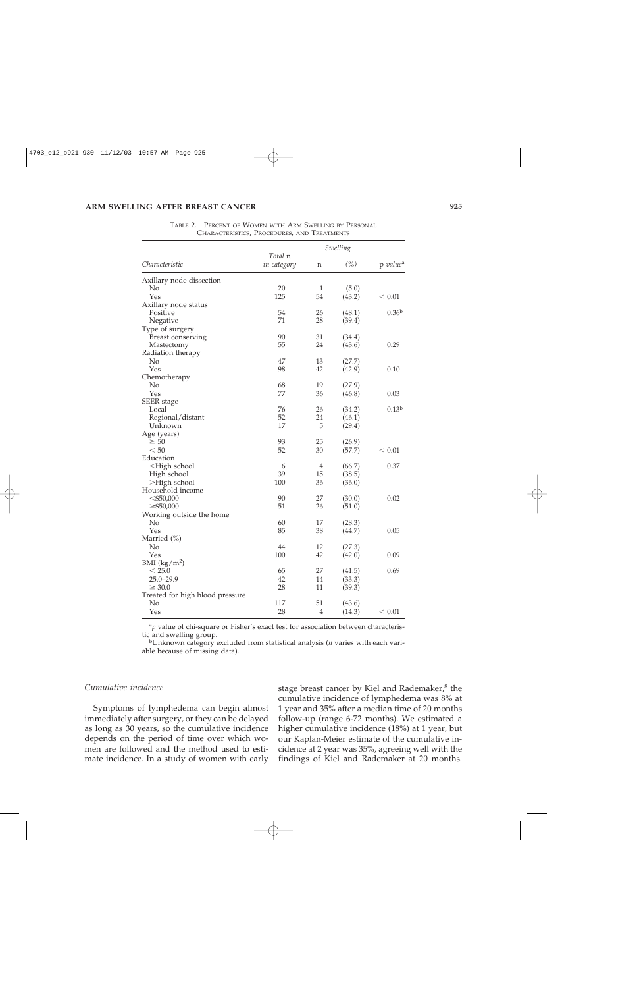|                                                                                       |                        | Swelling       |        |                      |
|---------------------------------------------------------------------------------------|------------------------|----------------|--------|----------------------|
| Characteristic                                                                        | Total n<br>in category | n              | (%)    | p value <sup>a</sup> |
| Axillary node dissection                                                              |                        |                |        |                      |
| No                                                                                    | 20                     | 1              | (5.0)  |                      |
| Yes                                                                                   | 125                    | 54             | (43.2) | < 0.01               |
| Axillary node status                                                                  |                        |                |        |                      |
| Positive                                                                              | 54                     | 26             | (48.1) | 0.36 <sup>b</sup>    |
| Negative                                                                              | 71                     | 28             | (39.4) |                      |
| Type of surgery                                                                       |                        |                |        |                      |
| Breast conserving                                                                     | 90                     | 31             | (34.4) |                      |
| Mastectomy                                                                            | 55                     | 24             | (43.6) | 0.29                 |
| Radiation therapy                                                                     |                        |                |        |                      |
| No                                                                                    | 47                     | 13             | (27.7) |                      |
| Yes                                                                                   | 98                     | 42             | (42.9) | 0.10                 |
| Chemotherapy                                                                          |                        |                |        |                      |
| No                                                                                    | 68                     | 19             | (27.9) |                      |
| Yes                                                                                   | 77                     | 36             | (46.8) | 0.03                 |
| <b>SEER</b> stage                                                                     |                        |                |        |                      |
| Local                                                                                 | 76                     | 26             | (34.2) | 0.13 <sup>b</sup>    |
| Regional/distant                                                                      | 52                     | 24             | (46.1) |                      |
| Unknown                                                                               | 17                     | 5              | (29.4) |                      |
|                                                                                       |                        |                |        |                      |
| Age (years)<br>$\geq 50$                                                              | 93                     | 25             | (26.9) |                      |
| < 50                                                                                  | 52                     | 30             |        | < 0.01               |
| Education                                                                             |                        |                | (57.7) |                      |
|                                                                                       |                        |                |        |                      |
| <high school<="" td=""><td>6<br/>39</td><td>4</td><td>(66.7)</td><td>0.37</td></high> | 6<br>39                | 4              | (66.7) | 0.37                 |
| High school                                                                           |                        | 15             | (38.5) |                      |
| >High school                                                                          | 100                    | 36             | (36.0) |                      |
| Household income                                                                      |                        |                |        |                      |
| $<$ \$50,000                                                                          | 90                     | 27             | (30.0) | 0.02                 |
| $\geq$ \$50,000                                                                       | 51                     | 26             | (51.0) |                      |
| Working outside the home                                                              |                        |                |        |                      |
| No                                                                                    | 60                     | 17             | (28.3) |                      |
| Yes                                                                                   | 85                     | 38             | (44.7) | 0.05                 |
| Married (%)                                                                           |                        |                |        |                      |
| No                                                                                    | 44                     | 12             | (27.3) |                      |
| Yes                                                                                   | 100                    | 42             | (42.0) | 0.09                 |
| BMI $(kg/m^2)$                                                                        |                        |                |        |                      |
| $<$ 25.0                                                                              | 65                     | 27             | (41.5) | 0.69                 |
| $25.0 - 29.9$                                                                         | 42                     | 14             | (33.3) |                      |
| $\geq 30.0$                                                                           | 28                     | 11             | (39.3) |                      |
| Treated for high blood pressure                                                       |                        |                |        |                      |
| No                                                                                    | 117                    | 51             | (43.6) |                      |
| Yes                                                                                   | 28                     | $\overline{4}$ | (14.3) | < 0.01               |

TABLE 2. PERCENT OF WOMEN WITH ARM SWELLING BY PERSONAL CHARACTERISTICS, PROCEDURES, AND TREATMENTS

<sup>a</sup>p value of chi-square or Fisher's exact test for association between characteristic and swelling group.

<sup>b</sup>Unknown category excluded from statistical analysis (*n* varies with each variable because of missing data).

## *Cumulative incidence*

Symptoms of lymphedema can begin almost immediately after surgery, or they can be delayed as long as 30 years, so the cumulative incidence depends on the period of time over which women are followed and the method used to estimate incidence. In a study of women with early stage breast cancer by Kiel and Rademaker, $8$  the cumulative incidence of lymphedema was 8% at 1 year and 35% after a median time of 20 months follow-up (range 6-72 months). We estimated a higher cumulative incidence (18%) at 1 year, but our Kaplan-Meier estimate of the cumulative incidence at 2 year was 35%, agreeing well with the findings of Kiel and Rademaker at 20 months.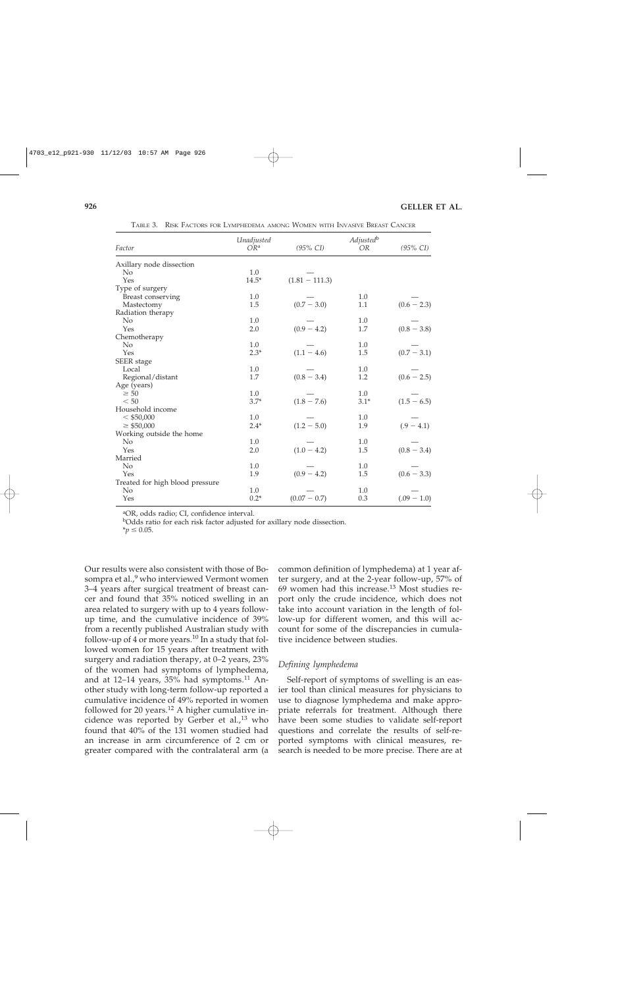| Factor                          | Unadjusted<br>$OR^a$ | $(95\% \text{ CI})$ | Adjustedb<br>OR | $(95\% \; \text{CI})$ |
|---------------------------------|----------------------|---------------------|-----------------|-----------------------|
| Axillary node dissection        |                      |                     |                 |                       |
| N <sub>0</sub>                  | 1.0                  |                     |                 |                       |
| Yes                             | $14.5*$              | $(1.81 - 111.3)$    |                 |                       |
| Type of surgery                 |                      |                     |                 |                       |
| Breast conserving               | 1.0                  |                     | 1.0             |                       |
| Mastectomy                      | 1.5                  | $(0.7 - 3.0)$       | 1.1             | $(0.6 - 2.3)$         |
| Radiation therapy               |                      |                     |                 |                       |
| No                              | 1.0                  |                     | 1.0             |                       |
| Yes                             | 2.0                  | $(0.9 - 4.2)$       | 1.7             | $(0.8 - 3.8)$         |
| Chemotherapy                    |                      |                     |                 |                       |
| No                              | 1.0                  |                     | 1.0             |                       |
| Yes                             | $2.3*$               | $(1.1 - 4.6)$       | 1.5             | $(0.7 - 3.1)$         |
| SEER stage                      |                      |                     |                 |                       |
| Local                           | 1.0                  |                     | 1.0             |                       |
| Regional/distant                | 1.7                  | $(0.8 - 3.4)$       | 1.2             | $(0.6 - 2.5)$         |
| Age (years)                     |                      |                     |                 |                       |
| $\geq 50$                       | 1.0                  |                     | 1.0             |                       |
| < 50                            | $3.7*$               | $(1.8 - 7.6)$       | $3.1*$          | $(1.5 - 6.5)$         |
| Household income                |                      |                     |                 |                       |
| $<$ \$50,000                    | 1.0                  |                     | 1.0             |                       |
| $\geq$ \$50,000                 | $2.4*$               | $(1.2 - 5.0)$       | 1.9             | $(.9 - 4.1)$          |
| Working outside the home        |                      |                     |                 |                       |
| N <sub>o</sub>                  | 1.0                  |                     | 1.0             |                       |
| Yes                             | 2.0                  | $(1.0 - 4.2)$       | 1.5             | $(0.8 - 3.4)$         |
| Married                         |                      |                     |                 |                       |
| No                              | 1.0                  |                     | 1.0             |                       |
| Yes                             | 1.9                  | $(0.9 - 4.2)$       | 1.5             | $(0.6 - 3.3)$         |
| Treated for high blood pressure |                      |                     |                 |                       |
| No                              | 1.0                  |                     | 1.0             |                       |
| Yes                             | $0.2*$               | $(0.07 - 0.7)$      | 0.3             | $(.09 - 1.0)$         |

TABLE 3. RISK FACTORS FOR LYMPHEDEMA AMONG WOMEN WITH INVASIVE BREAST CANCER

aOR, odds radio; CI, confidence interval.

bOdds ratio for each risk factor adjusted for axillary node dissection.

 $*_{p} \leq 0.05$ .

Our results were also consistent with those of Bosompra et al.,<sup>9</sup> who interviewed Vermont women 3–4 years after surgical treatment of breast cancer and found that 35% noticed swelling in an area related to surgery with up to 4 years followup time, and the cumulative incidence of 39% from a recently published Australian study with follow-up of 4 or more years.<sup>10</sup> In a study that followed women for 15 years after treatment with surgery and radiation therapy, at 0–2 years, 23% of the women had symptoms of lymphedema, and at  $12-14$  years,  $35%$  had symptoms.<sup>11</sup> Another study with long-term follow-up reported a cumulative incidence of 49% reported in women followed for 20 years.<sup>12</sup> A higher cumulative incidence was reported by Gerber et al.,<sup>13</sup> who found that 40% of the 131 women studied had an increase in arm circumference of 2 cm or greater compared with the contralateral arm (a

common definition of lymphedema) at 1 year after surgery, and at the 2-year follow-up, 57% of 69 women had this increase.<sup>13</sup> Most studies report only the crude incidence, which does not take into account variation in the length of follow-up for different women, and this will account for some of the discrepancies in cumulative incidence between studies.

## *Defining lymphedema*

Self-report of symptoms of swelling is an easier tool than clinical measures for physicians to use to diagnose lymphedema and make appropriate referrals for treatment. Although there have been some studies to validate self-report questions and correlate the results of self-reported symptoms with clinical measures, research is needed to be more precise. There are at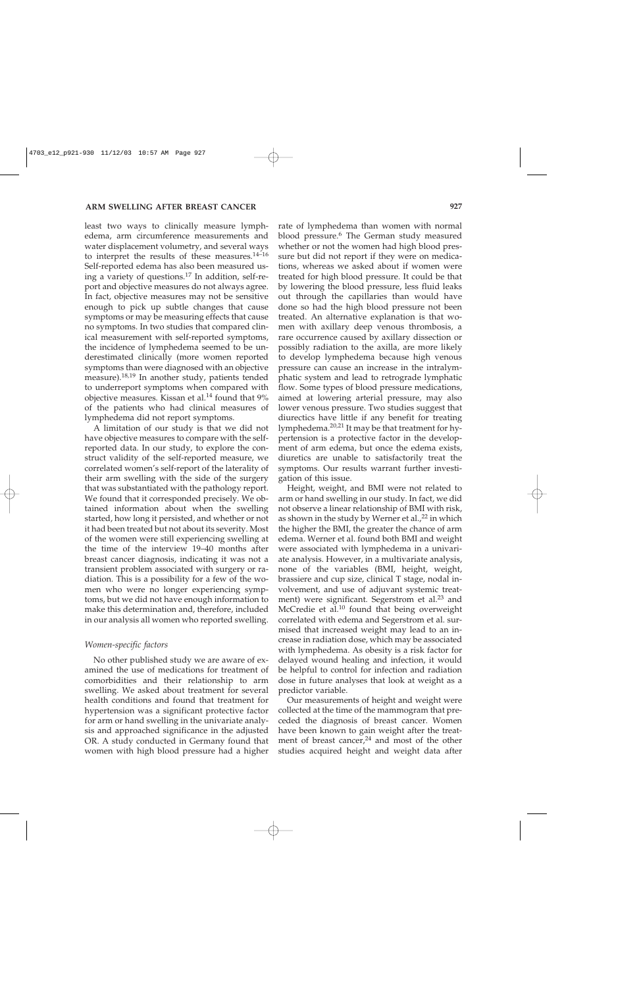least two ways to clinically measure lymphedema, arm circumference measurements and water displacement volumetry, and several ways to interpret the results of these measures.<sup>14–16</sup> Self-reported edema has also been measured using a variety of questions.17 In addition, self-report and objective measures do not always agree. In fact, objective measures may not be sensitive enough to pick up subtle changes that cause symptoms or may be measuring effects that cause no symptoms. In two studies that compared clinical measurement with self-reported symptoms, the incidence of lymphedema seemed to be underestimated clinically (more women reported symptoms than were diagnosed with an objective measure).<sup>18,19</sup> In another study, patients tended to underreport symptoms when compared with objective measures. Kissan et al.<sup>14</sup> found that 9% of the patients who had clinical measures of lymphedema did not report symptoms.

A limitation of our study is that we did not have objective measures to compare with the selfreported data. In our study, to explore the construct validity of the self-reported measure, we correlated women's self-report of the laterality of their arm swelling with the side of the surgery that was substantiated with the pathology report. We found that it corresponded precisely. We obtained information about when the swelling started, how long it persisted, and whether or not it had been treated but not about its severity. Most of the women were still experiencing swelling at the time of the interview 19–40 months after breast cancer diagnosis, indicating it was not a transient problem associated with surgery or radiation. This is a possibility for a few of the women who were no longer experiencing symptoms, but we did not have enough information to make this determination and, therefore, included in our analysis all women who reported swelling.

#### *Women-specific factors*

No other published study we are aware of examined the use of medications for treatment of comorbidities and their relationship to arm swelling. We asked about treatment for several health conditions and found that treatment for hypertension was a significant protective factor for arm or hand swelling in the univariate analysis and approached significance in the adjusted OR. A study conducted in Germany found that women with high blood pressure had a higher

rate of lymphedema than women with normal blood pressure.<sup>6</sup> The German study measured whether or not the women had high blood pressure but did not report if they were on medications, whereas we asked about if women were treated for high blood pressure. It could be that by lowering the blood pressure, less fluid leaks out through the capillaries than would have done so had the high blood pressure not been treated. An alternative explanation is that women with axillary deep venous thrombosis, a rare occurrence caused by axillary dissection or possibly radiation to the axilla, are more likely to develop lymphedema because high venous pressure can cause an increase in the intralymphatic system and lead to retrograde lymphatic flow. Some types of blood pressure medications, aimed at lowering arterial pressure, may also lower venous pressure. Two studies suggest that diurectics have little if any benefit for treating lymphedema.<sup>20,21</sup> It may be that treatment for hypertension is a protective factor in the development of arm edema, but once the edema exists, diuretics are unable to satisfactorily treat the symptoms. Our results warrant further investigation of this issue.

Height, weight, and BMI were not related to arm or hand swelling in our study. In fact, we did not observe a linear relationship of BMI with risk, as shown in the study by Werner et al., $^{22}$  in which the higher the BMI, the greater the chance of arm edema. Werner et al. found both BMI and weight were associated with lymphedema in a univariate analysis. However, in a multivariate analysis, none of the variables (BMI, height, weight, brassiere and cup size, clinical T stage, nodal involvement, and use of adjuvant systemic treatment) were significant. Segerstrom et al.<sup>23</sup> and McCredie et al. $10$  found that being overweight correlated with edema and Segerstrom et al. surmised that increased weight may lead to an increase in radiation dose, which may be associated with lymphedema. As obesity is a risk factor for delayed wound healing and infection, it would be helpful to control for infection and radiation dose in future analyses that look at weight as a predictor variable.

Our measurements of height and weight were collected at the time of the mammogram that preceded the diagnosis of breast cancer. Women have been known to gain weight after the treatment of breast cancer,<sup>24</sup> and most of the other studies acquired height and weight data after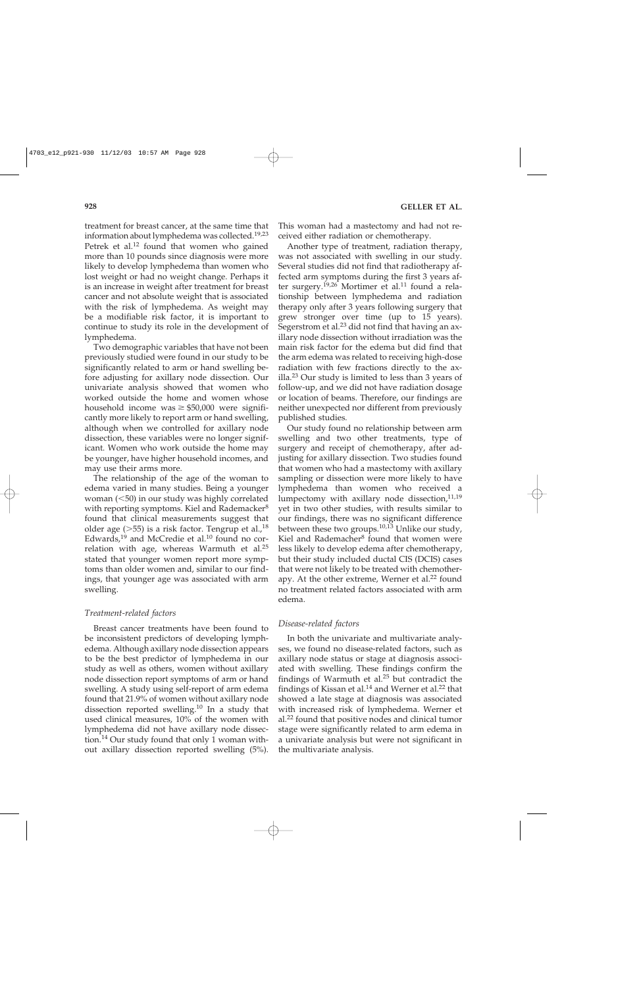treatment for breast cancer, at the same time that information about lymphedema was collected.<sup>19,23</sup> Petrek et al.<sup>12</sup> found that women who gained more than 10 pounds since diagnosis were more likely to develop lymphedema than women who lost weight or had no weight change. Perhaps it is an increase in weight after treatment for breast cancer and not absolute weight that is associated with the risk of lymphedema. As weight may be a modifiable risk factor, it is important to continue to study its role in the development of lymphedema.

Two demographic variables that have not been previously studied were found in our study to be significantly related to arm or hand swelling before adjusting for axillary node dissection. Our univariate analysis showed that women who worked outside the home and women whose household income was  $\geq$  \$50,000 were significantly more likely to report arm or hand swelling, although when we controlled for axillary node dissection, these variables were no longer significant. Women who work outside the home may be younger, have higher household incomes, and may use their arms more.

The relationship of the age of the woman to edema varied in many studies. Being a younger woman  $(<50$ ) in our study was highly correlated with reporting symptoms. Kiel and Rademacker<sup>8</sup> found that clinical measurements suggest that older age  $(>55)$  is a risk factor. Tengrup et al.,<sup>18</sup> Edwards,<sup>19</sup> and McCredie et al.<sup>10</sup> found no correlation with age, whereas Warmuth et al.<sup>25</sup> stated that younger women report more symptoms than older women and, similar to our findings, that younger age was associated with arm swelling.

### *Treatment-related factors*

Breast cancer treatments have been found to be inconsistent predictors of developing lymphedema. Although axillary node dissection appears to be the best predictor of lymphedema in our study as well as others, women without axillary node dissection report symptoms of arm or hand swelling. A study using self-report of arm edema found that 21.9% of women without axillary node dissection reported swelling.<sup>10</sup> In a study that used clinical measures, 10% of the women with lymphedema did not have axillary node dissection.14 Our study found that only 1 woman without axillary dissection reported swelling (5%).

This woman had a mastectomy and had not received either radiation or chemotherapy.

Another type of treatment, radiation therapy, was not associated with swelling in our study. Several studies did not find that radiotherapy affected arm symptoms during the first 3 years after surgery.<sup>19,26</sup> Mortimer et al.<sup>11</sup> found a relationship between lymphedema and radiation therapy only after 3 years following surgery that grew stronger over time (up to 15 years). Segerstrom et al.<sup>23</sup> did not find that having an axillary node dissection without irradiation was the main risk factor for the edema but did find that the arm edema was related to receiving high-dose radiation with few fractions directly to the axilla.<sup>23</sup> Our study is limited to less than 3 years of follow-up, and we did not have radiation dosage or location of beams. Therefore, our findings are neither unexpected nor different from previously published studies.

Our study found no relationship between arm swelling and two other treatments, type of surgery and receipt of chemotherapy, after adjusting for axillary dissection. Two studies found that women who had a mastectomy with axillary sampling or dissection were more likely to have lymphedema than women who received a lumpectomy with axillary node dissection, $11,19$ yet in two other studies, with results similar to our findings, there was no significant difference between these two groups.<sup>10,13</sup> Unlike our study, Kiel and Rademacher<sup>8</sup> found that women were less likely to develop edema after chemotherapy, but their study included ductal CIS (DCIS) cases that were not likely to be treated with chemotherapy. At the other extreme, Werner et al.<sup>22</sup> found no treatment related factors associated with arm edema.

### *Disease-related factors*

In both the univariate and multivariate analyses, we found no disease-related factors, such as axillary node status or stage at diagnosis associated with swelling. These findings confirm the findings of Warmuth et al. $25$  but contradict the findings of Kissan et al.<sup>14</sup> and Werner et al.<sup>22</sup> that showed a late stage at diagnosis was associated with increased risk of lymphedema. Werner et al.22 found that positive nodes and clinical tumor stage were significantly related to arm edema in a univariate analysis but were not significant in the multivariate analysis.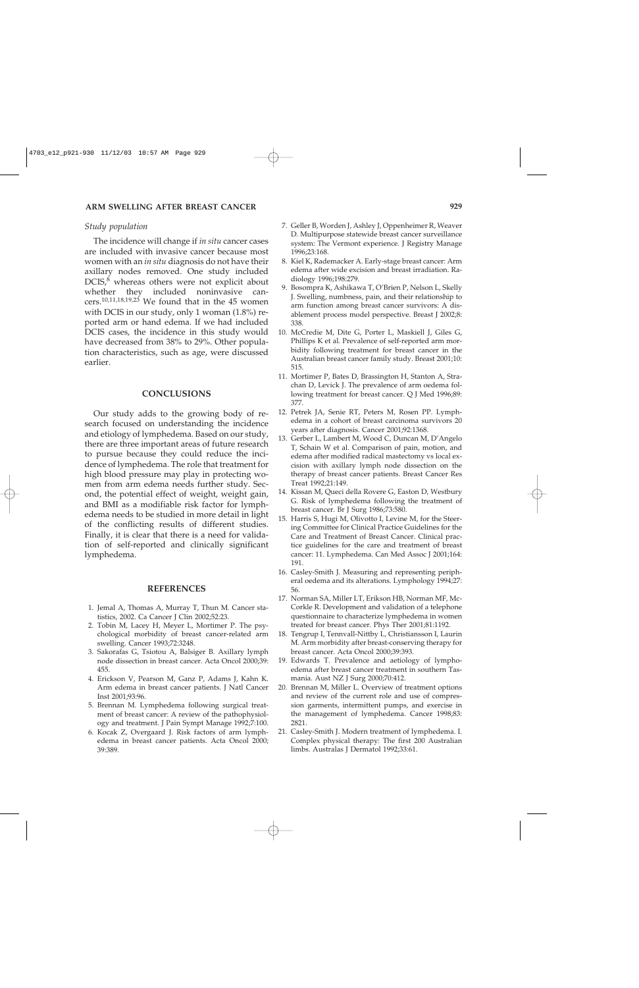## *Study population*

The incidence will change if *in situ* cancer cases are included with invasive cancer because most women with an *in situ* diagnosis do not have their axillary nodes removed. One study included DCIS,<sup>8</sup> whereas others were not explicit about whether they included noninvasive cancers.<sup>10,11,18,19,23</sup> We found that in the 45 women with DCIS in our study, only 1 woman (1.8%) reported arm or hand edema. If we had included DCIS cases, the incidence in this study would have decreased from 38% to 29%. Other population characteristics, such as age, were discussed earlier.

## **CONCLUSIONS**

Our study adds to the growing body of research focused on understanding the incidence and etiology of lymphedema. Based on our study, there are three important areas of future research to pursue because they could reduce the incidence of lymphedema. The role that treatment for high blood pressure may play in protecting women from arm edema needs further study. Second, the potential effect of weight, weight gain, and BMI as a modifiable risk factor for lymphedema needs to be studied in more detail in light of the conflicting results of different studies. Finally, it is clear that there is a need for validation of self-reported and clinically significant lymphedema.

#### **REFERENCES**

- 1. Jemal A, Thomas A, Murray T, Thun M. Cancer statistics, 2002. Ca Cancer J Clin 2002;52:23.
- 2. Tobin M, Lacey H, Meyer L, Mortimer P. The psychological morbidity of breast cancer-related arm swelling. Cancer 1993;72:3248.
- 3. Sakorafas G, Tsiotou A, Balsiger B. Axillary lymph node dissection in breast cancer. Acta Oncol 2000;39: 455.
- 4. Erickson V, Pearson M, Ganz P, Adams J, Kahn K. Arm edema in breast cancer patients. J Natl Cancer Inst 2001;93:96.
- 5. Brennan M. Lymphedema following surgical treatment of breast cancer: A review of the pathophysiology and treatment. J Pain Sympt Manage 1992;7:100.
- 6. Kocak Z, Overgaard J. Risk factors of arm lymphedema in breast cancer patients. Acta Oncol 2000; 39:389.
- 7. Geller B, Worden J, Ashley J, Oppenheimer R, Weaver D. Multipurpose statewide breast cancer surveillance system: The Vermont experience. J Registry Manage 1996;23:168.
- 8. Kiel K, Rademacker A. Early-stage breast cancer: Arm edema after wide excision and breast irradiation. Radiology 1996;198:279.
- 9. Bosompra K, Ashikawa T, O'Brien P, Nelson L, Skelly J. Swelling, numbness, pain, and their relationship to arm function among breast cancer survivors: A disablement process model perspective. Breast J 2002;8: 338.
- 10. McCredie M, Dite G, Porter L, Maskiell J, Giles G, Phillips K et al. Prevalence of self-reported arm morbidity following treatment for breast cancer in the Australian breast cancer family study. Breast 2001;10: 515.
- 11. Mortimer P, Bates D, Brassington H, Stanton A, Strachan D, Levick J. The prevalence of arm oedema following treatment for breast cancer. Q J Med 1996;89: 377.
- 12. Petrek JA, Senie RT, Peters M, Rosen PP. Lymphedema in a cohort of breast carcinoma survivors 20 years after diagnosis. Cancer 2001;92:1368.
- 13. Gerber L, Lambert M, Wood C, Duncan M, D'Angelo T, Schain W et al. Comparison of pain, motion, and edema after modified radical mastectomy vs local excision with axillary lymph node dissection on the therapy of breast cancer patients. Breast Cancer Res Treat 1992;21:149.
- 14. Kissan M, Queci della Rovere G, Easton D, Westbury G. Risk of lymphedema following the treatment of breast cancer. Br J Surg 1986;73:580.
- 15. Harris S, Hugi M, Olivotto I, Levine M, for the Steering Committee for Clinical Practice Guidelines for the Care and Treatment of Breast Cancer. Clinical practice guidelines for the care and treatment of breast cancer: 11. Lymphedema. Can Med Assoc J 2001;164: 191.
- 16. Casley-Smith J. Measuring and representing peripheral oedema and its alterations. Lymphology 1994;27: 56.
- 17. Norman SA, Miller LT, Erikson HB, Norman MF, Mc-Corkle R. Development and validation of a telephone questionnaire to characterize lymphedema in women treated for breast cancer. Phys Ther 2001;81:1192.
- 18. Tengrup I, Tennvall-Nittby L, Christiansson I, Laurin M. Arm morbidity after breast-conserving therapy for breast cancer. Acta Oncol 2000;39:393.
- 19. Edwards T. Prevalence and aetiology of lymphoedema after breast cancer treatment in southern Tasmania. Aust NZ J Surg 2000;70:412.
- 20. Brennan M, Miller L. Overview of treatment options and review of the current role and use of compression garments, intermittent pumps, and exercise in the management of lymphedema. Cancer 1998;83: 2821.
- 21. Casley-Smith J. Modern treatment of lymphedema. I. Complex physical therapy: The first 200 Australian limbs. Australas J Dermatol 1992;33:61.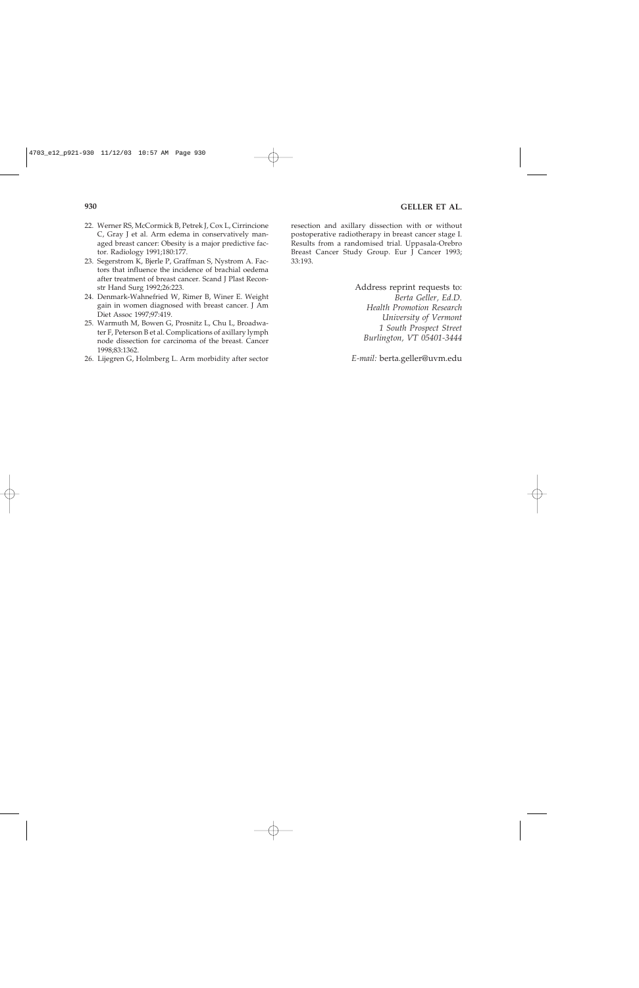- 22. Werner RS, McCormick B, Petrek J, Cox L, Cirrincione C, Gray J et al. Arm edema in conservatively managed breast cancer: Obesity is a major predictive factor. Radiology 1991;180:177.
- 23. Segerstrom K, Bjerle P, Graffman S, Nystrom A. Factors that influence the incidence of brachial oedema after treatment of breast cancer. Scand J Plast Reconstr Hand Surg 1992;26:223.
- 24. Denmark-Wahnefried W, Rimer B, Winer E. Weight gain in women diagnosed with breast cancer. J Am Diet Assoc 1997;97:419.
- 25. Warmuth M, Bowen G, Prosnitz L, Chu L, Broadwater F, Peterson B et al. Complications of axillary lymph node dissection for carcinoma of the breast. Cancer 1998;83:1362.
- 26. Lijegren G, Holmberg L. Arm morbidity after sector

resection and axillary dissection with or without postoperative radiotherapy in breast cancer stage I. Results from a randomised trial. Uppasala-Orebro Breast Cancer Study Group. Eur J Cancer 1993; 33:193.

> Address reprint requests to: *Berta Geller, Ed.D. Health Promotion Research University of Vermont 1 South Prospect Street Burlington, VT 05401-3444*

*E-mail:* berta.geller@uvm.edu